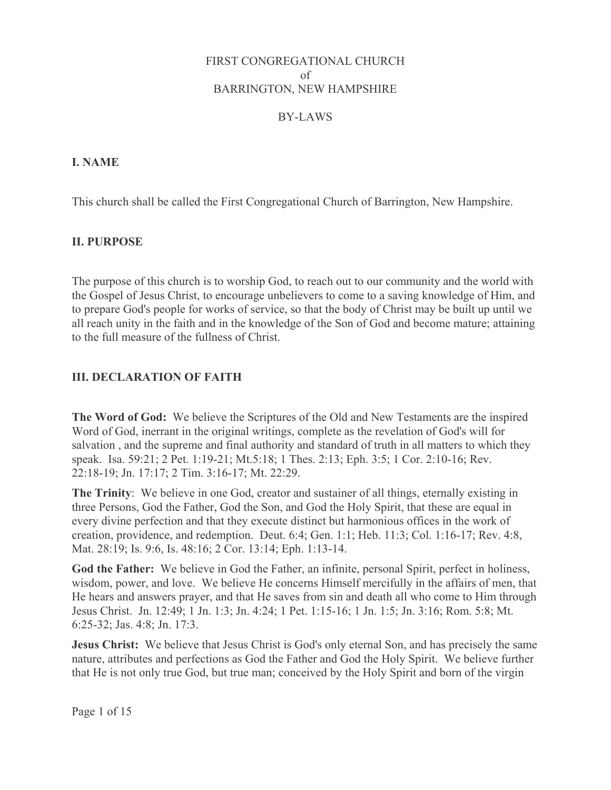### FIRST CONGREGATIONAL CHURCH of **BARRINGTON, NEW HAMPSHIRE**

## BY-LAWS

## **I. NAME**

This church shall be called the First Congregational Church of Barrington, New Hampshire.

## **II. PURPOSE**

The purpose of this church is to worship God, to reach out to our community and the world with the Gospel of Jesus Christ, to encourage unbelievers to come to a saving knowledge of Him, and to prepare God's people for works of service, so that the body of Christ may be built up until we all reach unity in the faith and in the knowledge of the Son of God and become mature; attaining to the full measure of the fullness of Christ

## **III. DECLARATION OF FAITH**

The Word of God: We believe the Scriptures of the Old and New Testaments are the inspired Word of God, inerrant in the original writings, complete as the revelation of God's will for salvation, and the supreme and final authority and standard of truth in all matters to which they speak. Isa. 59:21; 2 Pet. 1:19-21; Mt.5:18; 1 Thes. 2:13; Eph. 3:5; 1 Cor. 2:10-16; Rev. 22:18-19; Jn. 17:17; 2 Tim. 3:16-17; Mt. 22:29.

The Trinity: We believe in one God, creator and sustainer of all things, eternally existing in three Persons, God the Father, God the Son, and God the Holy Spirit, that these are equal in every divine perfection and that they execute distinct but harmonious offices in the work of creation, providence, and redemption. Deut. 6:4; Gen. 1:1; Heb. 11:3; Col. 1:16-17; Rev. 4:8, Mat. 28:19; Is. 9:6, Is. 48:16; 2 Cor. 13:14; Eph. 1:13-14.

God the Father: We believe in God the Father, an infinite, personal Spirit, perfect in holiness, wisdom, power, and love. We believe He concerns Himself mercifully in the affairs of men, that He hears and answers prayer, and that He saves from sin and death all who come to Him through Jesus Christ. Jn. 12:49; 1 Jn. 1:3; Jn. 4:24; 1 Pet. 1:15-16; 1 Jn. 1:5; Jn. 3:16; Rom. 5:8; Mt. 6:25-32; Jas. 4:8; Jn. 17:3.

**Jesus Christ:** We believe that Jesus Christ is God's only eternal Son, and has precisely the same nature, attributes and perfections as God the Father and God the Holy Spirit. We believe further that He is not only true God, but true man; conceived by the Holy Spirit and born of the virgin

Page 1 of 15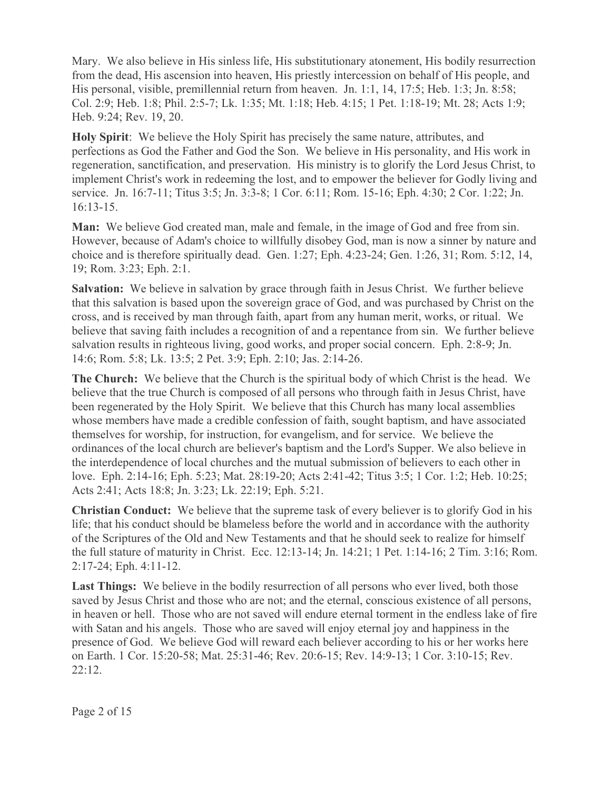Mary. We also believe in His sinless life, His substitutionary atonement, His bodily resurrection from the dead, His ascension into heaven, His priestly intercession on behalf of His people, and His personal, visible, premillennial return from heaven. Jn. 1:1, 14, 17:5; Heb. 1:3; Jn. 8:58; Col. 2:9; Heb. 1:8; Phil. 2:5-7; Lk. 1:35; Mt. 1:18; Heb. 4:15; 1 Pet. 1:18-19; Mt. 28; Acts 1:9; Heb. 9:24; Rev. 19, 20.

Holy Spirit: We believe the Holy Spirit has precisely the same nature, attributes, and perfections as God the Father and God the Son. We believe in His personality, and His work in regeneration, sanctification, and preservation. His ministry is to glorify the Lord Jesus Christ, to implement Christ's work in redeeming the lost, and to empower the believer for Godly living and service. Jn. 16:7-11; Titus 3:5; Jn. 3:3-8; 1 Cor. 6:11; Rom. 15-16; Eph. 4:30; 2 Cor. 1:22; Jn.  $16:13-15.$ 

**Man:** We believe God created man, male and female, in the image of God and free from sin. However, because of Adam's choice to willfully disobey God, man is now a sinner by nature and choice and is therefore spiritually dead. Gen. 1:27; Eph. 4:23-24; Gen. 1:26, 31; Rom. 5:12, 14, 19; Rom. 3:23; Eph. 2:1.

Salvation: We believe in salvation by grace through faith in Jesus Christ. We further believe that this salvation is based upon the sovereign grace of God, and was purchased by Christ on the cross, and is received by man through faith, apart from any human merit, works, or ritual. We believe that saving faith includes a recognition of and a repentance from sin. We further believe salvation results in righteous living, good works, and proper social concern. Eph. 2:8-9; Jn. 14:6; Rom. 5:8; Lk. 13:5; 2 Pet. 3:9; Eph. 2:10; Jas. 2:14-26.

The Church: We believe that the Church is the spiritual body of which Christ is the head. We believe that the true Church is composed of all persons who through faith in Jesus Christ, have been regenerated by the Holy Spirit. We believe that this Church has many local assemblies whose members have made a credible confession of faith, sought baptism, and have associated themselves for worship, for instruction, for evangelism, and for service. We believe the ordinances of the local church are believer's baptism and the Lord's Supper. We also believe in the interdependence of local churches and the mutual submission of believers to each other in love. Eph. 2:14-16; Eph. 5:23; Mat. 28:19-20; Acts 2:41-42; Titus 3:5; 1 Cor. 1:2; Heb. 10:25; Acts 2:41; Acts 18:8; Jn. 3:23; Lk. 22:19; Eph. 5:21.

**Christian Conduct:** We believe that the supreme task of every believer is to glorify God in his life; that his conduct should be blameless before the world and in accordance with the authority of the Scriptures of the Old and New Testaments and that he should seek to realize for himself the full stature of maturity in Christ. Ecc. 12:13-14; Jn. 14:21; 1 Pet. 1:14-16; 2 Tim. 3:16; Rom.  $2:17-24$ ; Eph. 4:11-12.

**Last Things:** We believe in the bodily resurrection of all persons who ever lived, both those saved by Jesus Christ and those who are not; and the eternal, conscious existence of all persons, in heaven or hell. Those who are not saved will endure eternal torment in the endless lake of fire with Satan and his angels. Those who are saved will enjoy eternal joy and happiness in the presence of God. We believe God will reward each believer according to his or her works here on Earth. 1 Cor. 15:20-58; Mat. 25:31-46; Rev. 20:6-15; Rev. 14:9-13; 1 Cor. 3:10-15; Rev.  $22:12.$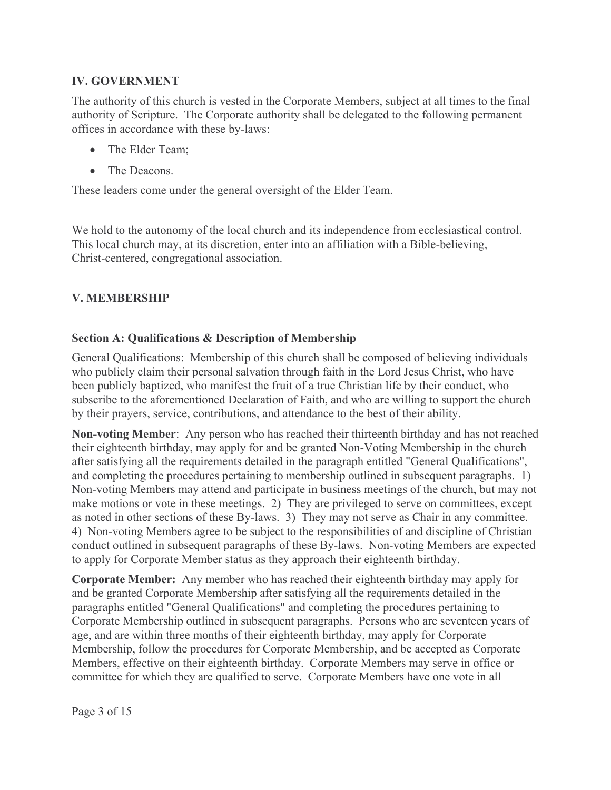# **IV. GOVERNMENT**

The authority of this church is vested in the Corporate Members, subject at all times to the final authority of Scripture. The Corporate authority shall be delegated to the following permanent offices in accordance with these by-laws:

- $\bullet$ The Elder Team:
- $\bullet$ The Deacons.

These leaders come under the general oversight of the Elder Team.

We hold to the autonomy of the local church and its independence from ecclesiastical control. This local church may, at its discretion, enter into an affiliation with a Bible-believing, Christ-centered, congregational association.

# **V. MEMBERSHIP**

## **Section A: Qualifications & Description of Membership**

General Qualifications: Membership of this church shall be composed of believing individuals who publicly claim their personal salvation through faith in the Lord Jesus Christ, who have been publicly baptized, who manifest the fruit of a true Christian life by their conduct, who subscribe to the aforementioned Declaration of Faith, and who are willing to support the church by their prayers, service, contributions, and attendance to the best of their ability.

Non-voting Member: Any person who has reached their thirteenth birthday and has not reached their eighteenth birthday, may apply for and be granted Non-Voting Membership in the church after satisfying all the requirements detailed in the paragraph entitled "General Qualifications". and completing the procedures pertaining to membership outlined in subsequent paragraphs. 1) Non-voting Members may attend and participate in business meetings of the church, but may not make motions or vote in these meetings. 2) They are privileged to serve on committees, except as noted in other sections of these By-laws. 3) They may not serve as Chair in any committee. 4) Non-voting Members agree to be subject to the responsibilities of and discipline of Christian conduct outlined in subsequent paragraphs of these By-laws. Non-voting Members are expected to apply for Corporate Member status as they approach their eighteenth birthday.

**Corporate Member:** Any member who has reached their eighteenth birthday may apply for and be granted Corporate Membership after satisfying all the requirements detailed in the paragraphs entitled "General Qualifications" and completing the procedures pertaining to Corporate Membership outlined in subsequent paragraphs. Persons who are seventeen years of age, and are within three months of their eighteenth birthday, may apply for Corporate Membership, follow the procedures for Corporate Membership, and be accepted as Corporate Members, effective on their eighteenth birthday. Corporate Members may serve in office or committee for which they are qualified to serve. Corporate Members have one vote in all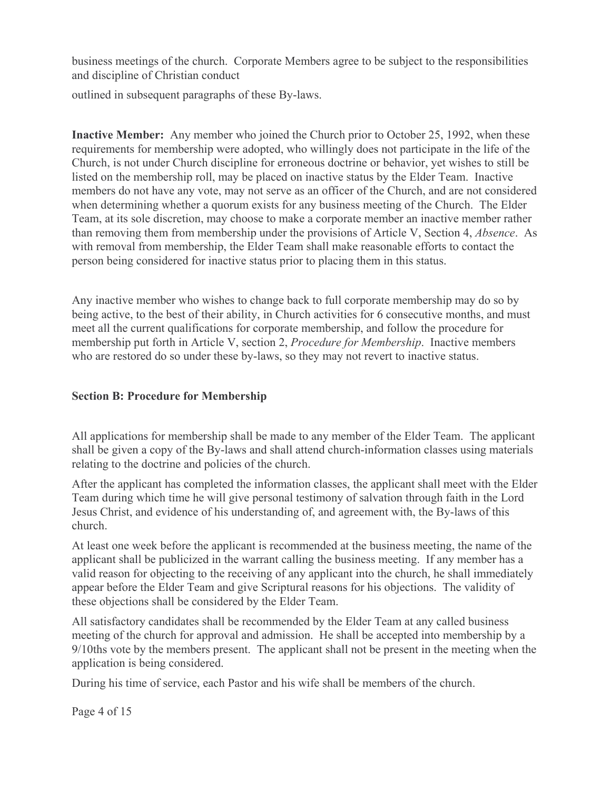business meetings of the church. Corporate Members agree to be subject to the responsibilities and discipline of Christian conduct

outlined in subsequent paragraphs of these By-laws.

**Inactive Member:** Any member who joined the Church prior to October 25, 1992, when these requirements for membership were adopted, who willingly does not participate in the life of the Church, is not under Church discipline for erroneous doctrine or behavior, yet wishes to still be listed on the membership roll, may be placed on inactive status by the Elder Team. Inactive members do not have any vote, may not serve as an officer of the Church, and are not considered when determining whether a quorum exists for any business meeting of the Church. The Elder Team, at its sole discretion, may choose to make a corporate member an inactive member rather than removing them from membership under the provisions of Article V, Section 4, *Absence*. As with removal from membership, the Elder Team shall make reasonable efforts to contact the person being considered for inactive status prior to placing them in this status.

Any inactive member who wishes to change back to full corporate membership may do so by being active, to the best of their ability, in Church activities for 6 consecutive months, and must meet all the current qualifications for corporate membership, and follow the procedure for membership put forth in Article V, section 2, *Procedure for Membership*. Inactive members who are restored do so under these by-laws, so they may not revert to inactive status.

### **Section B: Procedure for Membership**

All applications for membership shall be made to any member of the Elder Team. The applicant shall be given a copy of the By-laws and shall attend church-information classes using materials relating to the doctrine and policies of the church.

After the applicant has completed the information classes, the applicant shall meet with the Elder Team during which time he will give personal testimony of salvation through faith in the Lord Jesus Christ, and evidence of his understanding of, and agreement with, the By-laws of this church.

At least one week before the applicant is recommended at the business meeting, the name of the applicant shall be publicized in the warrant calling the business meeting. If any member has a valid reason for objecting to the receiving of any applicant into the church, he shall immediately appear before the Elder Team and give Scriptural reasons for his objections. The validity of these objections shall be considered by the Elder Team.

All satisfactory candidates shall be recommended by the Elder Team at any called business meeting of the church for approval and admission. He shall be accepted into membership by a 9/10ths vote by the members present. The applicant shall not be present in the meeting when the application is being considered.

During his time of service, each Pastor and his wife shall be members of the church.

Page 4 of 15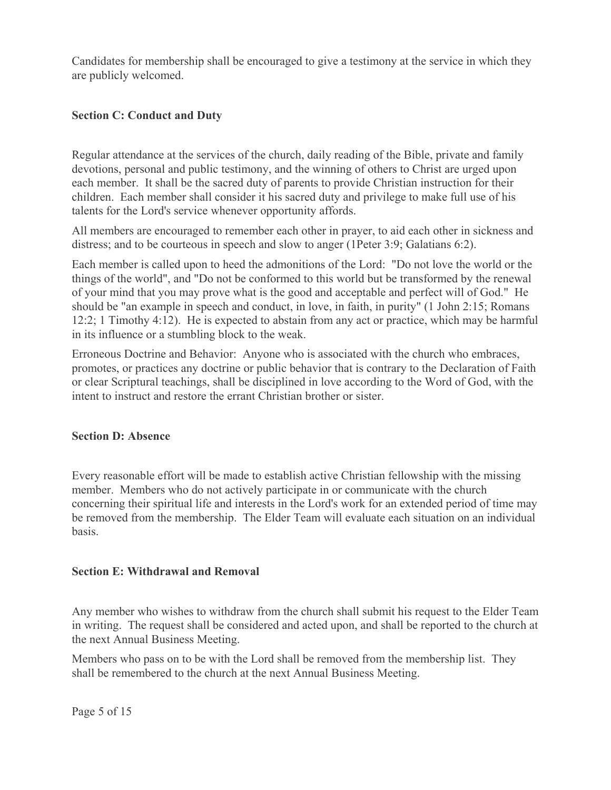Candidates for membership shall be encouraged to give a testimony at the service in which they are publicly welcomed.

## **Section C: Conduct and Duty**

Regular attendance at the services of the church, daily reading of the Bible, private and family devotions, personal and public testimony, and the winning of others to Christ are urged upon each member. It shall be the sacred duty of parents to provide Christian instruction for their children. Each member shall consider it his sacred duty and privilege to make full use of his talents for the Lord's service whenever opportunity affords.

All members are encouraged to remember each other in prayer, to aid each other in sickness and distress; and to be courteous in speech and slow to anger (1Peter 3:9; Galatians 6:2).

Each member is called upon to heed the admonitions of the Lord: "Do not love the world or the things of the world", and "Do not be conformed to this world but be transformed by the renewal of your mind that you may prove what is the good and acceptable and perfect will of God." He should be "an example in speech and conduct, in love, in faith, in purity" (1 John 2:15; Romans 12:2; 1 Timothy 4:12). He is expected to abstain from any act or practice, which may be harmful in its influence or a stumbling block to the weak.

Erroneous Doctrine and Behavior: Anyone who is associated with the church who embraces, promotes, or practices any doctrine or public behavior that is contrary to the Declaration of Faith or clear Scriptural teachings, shall be disciplined in love according to the Word of God, with the intent to instruct and restore the errant Christian brother or sister.

### **Section D: Absence**

Every reasonable effort will be made to establish active Christian fellowship with the missing member. Members who do not actively participate in or communicate with the church concerning their spiritual life and interests in the Lord's work for an extended period of time may be removed from the membership. The Elder Team will evaluate each situation on an individual basis.

### **Section E: Withdrawal and Removal**

Any member who wishes to withdraw from the church shall submit his request to the Elder Team in writing. The request shall be considered and acted upon, and shall be reported to the church at the next Annual Business Meeting.

Members who pass on to be with the Lord shall be removed from the membership list. They shall be remembered to the church at the next Annual Business Meeting.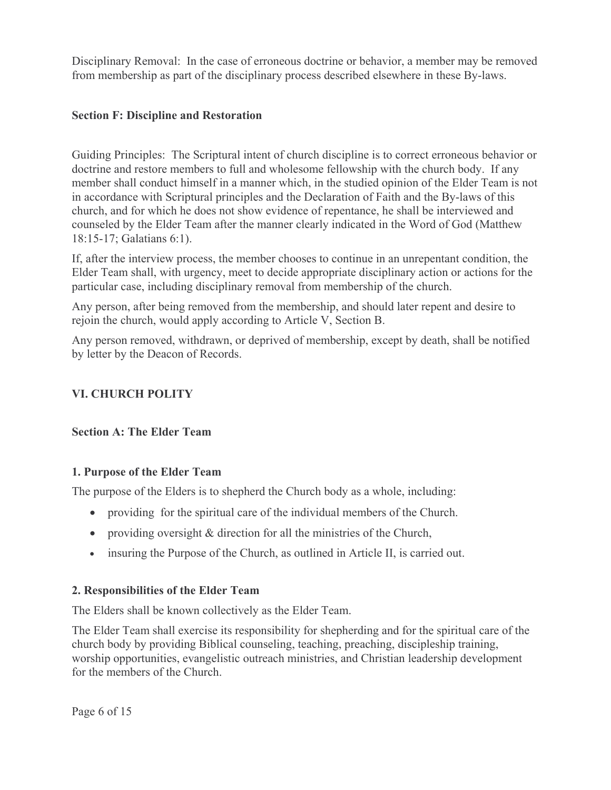Disciplinary Removal: In the case of erroneous doctrine or behavior, a member may be removed from membership as part of the disciplinary process described elsewhere in these By-laws.

## **Section F: Discipline and Restoration**

Guiding Principles: The Scriptural intent of church discipline is to correct erroneous behavior or doctrine and restore members to full and wholesome fellowship with the church body. If any member shall conduct himself in a manner which, in the studied opinion of the Elder Team is not in accordance with Scriptural principles and the Declaration of Faith and the By-laws of this church, and for which he does not show evidence of repentance, he shall be interviewed and counseled by the Elder Team after the manner clearly indicated in the Word of God (Matthew 18:15-17; Galatians 6:1).

If, after the interview process, the member chooses to continue in an unrepentant condition, the Elder Team shall, with urgency, meet to decide appropriate disciplinary action or actions for the particular case, including disciplinary removal from membership of the church.

Any person, after being removed from the membership, and should later repent and desire to rejoin the church, would apply according to Article V, Section B.

Any person removed, withdrawn, or deprived of membership, except by death, shall be notified by letter by the Deacon of Records.

# **VI. CHURCH POLITY**

### **Section A: The Elder Team**

# 1. Purpose of the Elder Team

The purpose of the Elders is to shepherd the Church body as a whole, including:

- providing for the spiritual care of the individual members of the Church.
- providing oversight  $&$  direction for all the ministries of the Church,
- insuring the Purpose of the Church, as outlined in Article II, is carried out.

# 2. Responsibilities of the Elder Team

The Elders shall be known collectively as the Elder Team.

The Elder Team shall exercise its responsibility for shepherding and for the spiritual care of the church body by providing Biblical counseling, teaching, preaching, discipleship training, worship opportunities, evangelistic outreach ministries, and Christian leadership development for the members of the Church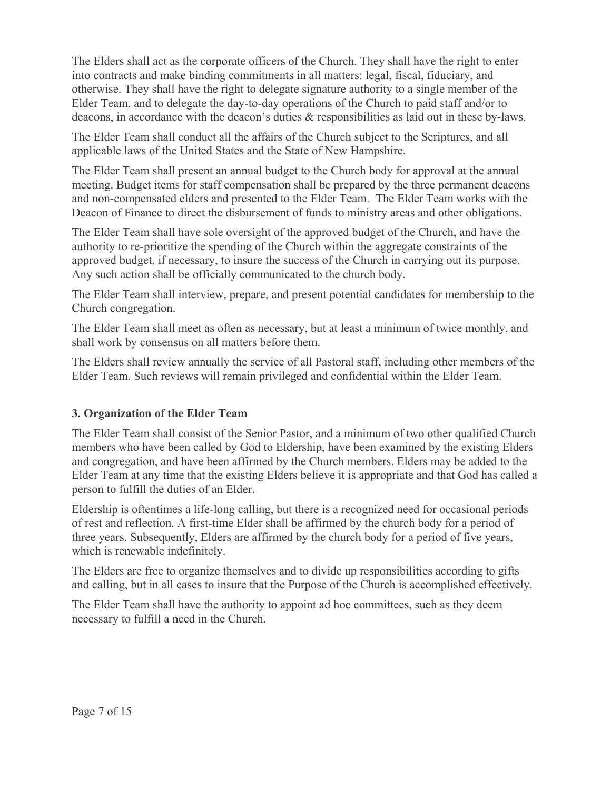The Elders shall act as the corporate officers of the Church. They shall have the right to enter into contracts and make binding commitments in all matters: legal, fiscal, fiduciary, and otherwise. They shall have the right to delegate signature authority to a single member of the Elder Team, and to delegate the day-to-day operations of the Church to paid staff and/or to deacons, in accordance with the deacon's duties & responsibilities as laid out in these by-laws.

The Elder Team shall conduct all the affairs of the Church subject to the Scriptures, and all applicable laws of the United States and the State of New Hampshire.

The Elder Team shall present an annual budget to the Church body for approval at the annual meeting. Budget items for staff compensation shall be prepared by the three permanent deacons and non-compensated elders and presented to the Elder Team. The Elder Team works with the Deacon of Finance to direct the disbursement of funds to ministry areas and other obligations.

The Elder Team shall have sole oversight of the approved budget of the Church, and have the authority to re-prioritize the spending of the Church within the aggregate constraints of the approved budget, if necessary, to insure the success of the Church in carrying out its purpose. Any such action shall be officially communicated to the church body.

The Elder Team shall interview, prepare, and present potential candidates for membership to the Church congregation.

The Elder Team shall meet as often as necessary, but at least a minimum of twice monthly, and shall work by consensus on all matters before them.

The Elders shall review annually the service of all Pastoral staff, including other members of the Elder Team. Such reviews will remain privileged and confidential within the Elder Team.

# 3. Organization of the Elder Team

The Elder Team shall consist of the Senior Pastor, and a minimum of two other qualified Church members who have been called by God to Eldership, have been examined by the existing Elders and congregation, and have been affirmed by the Church members. Elders may be added to the Elder Team at any time that the existing Elders believe it is appropriate and that God has called a person to fulfill the duties of an Elder.

Eldership is oftentimes a life-long calling, but there is a recognized need for occasional periods of rest and reflection. A first-time Elder shall be affirmed by the church body for a period of three years. Subsequently, Elders are affirmed by the church body for a period of five years, which is renewable indefinitely.

The Elders are free to organize themselves and to divide up responsibilities according to gifts and calling, but in all cases to insure that the Purpose of the Church is accomplished effectively.

The Elder Team shall have the authority to appoint ad hoc committees, such as they deem necessary to fulfill a need in the Church.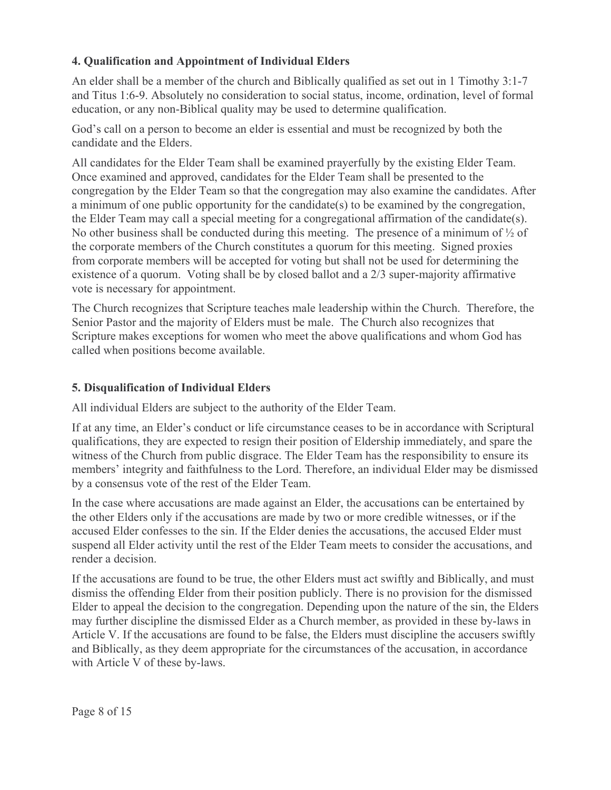# 4. Oualification and Appointment of Individual Elders

An elder shall be a member of the church and Biblically qualified as set out in 1 Timothy 3:1-7 and Titus 1:6-9. Absolutely no consideration to social status, income, ordination, level of formal education, or any non-Biblical quality may be used to determine qualification.

God's call on a person to become an elder is essential and must be recognized by both the candidate and the Elders.

All candidates for the Elder Team shall be examined prayerfully by the existing Elder Team. Once examined and approved, candidates for the Elder Team shall be presented to the congregation by the Elder Team so that the congregation may also examine the candidates. After a minimum of one public opportunity for the candidate(s) to be examined by the congregation, the Elder Team may call a special meeting for a congregational affirmation of the candidate(s). No other business shall be conducted during this meeting. The presence of a minimum of  $\frac{1}{2}$  of the corporate members of the Church constitutes a quorum for this meeting. Signed proxies from corporate members will be accepted for voting but shall not be used for determining the existence of a quorum. Voting shall be by closed ballot and a 2/3 super-majority affirmative vote is necessary for appointment.

The Church recognizes that Scripture teaches male leadership within the Church. Therefore, the Senior Pastor and the majority of Elders must be male. The Church also recognizes that Scripture makes exceptions for women who meet the above qualifications and whom God has called when positions become available.

# 5. Disqualification of Individual Elders

All individual Elders are subject to the authority of the Elder Team.

If at any time, an Elder's conduct or life circumstance ceases to be in accordance with Scriptural qualifications, they are expected to resign their position of Eldership immediately, and spare the witness of the Church from public disgrace. The Elder Team has the responsibility to ensure its members' integrity and faithfulness to the Lord. Therefore, an individual Elder may be dismissed by a consensus vote of the rest of the Elder Team.

In the case where accusations are made against an Elder, the accusations can be entertained by the other Elders only if the accusations are made by two or more credible witnesses, or if the accused Elder confesses to the sin. If the Elder denies the accusations, the accused Elder must suspend all Elder activity until the rest of the Elder Team meets to consider the accusations, and render a decision.

If the accusations are found to be true, the other Elders must act swiftly and Biblically, and must dismiss the offending Elder from their position publicly. There is no provision for the dismissed Elder to appeal the decision to the congregation. Depending upon the nature of the sin, the Elders may further discipline the dismissed Elder as a Church member, as provided in these by-laws in Article V. If the accusations are found to be false, the Elders must discipline the accusers swiftly and Biblically, as they deem appropriate for the circumstances of the accusation, in accordance with Article V of these by-laws.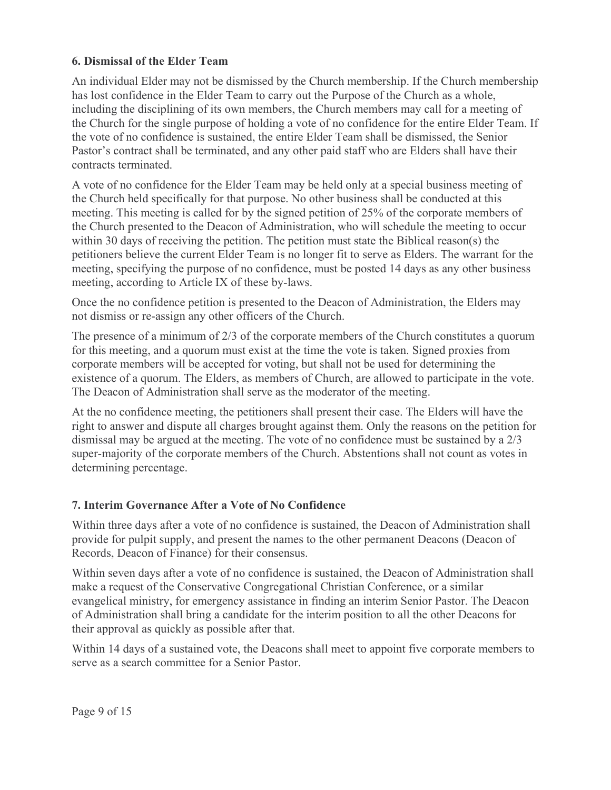## **6. Dismissal of the Elder Team**

An individual Elder may not be dismissed by the Church membership. If the Church membership has lost confidence in the Elder Team to carry out the Purpose of the Church as a whole. including the disciplining of its own members, the Church members may call for a meeting of the Church for the single purpose of holding a vote of no confidence for the entire Elder Team. If the vote of no confidence is sustained, the entire Elder Team shall be dismissed, the Senior Pastor's contract shall be terminated, and any other paid staff who are Elders shall have their contracts terminated.

A vote of no confidence for the Elder Team may be held only at a special business meeting of the Church held specifically for that purpose. No other business shall be conducted at this meeting. This meeting is called for by the signed petition of 25% of the corporate members of the Church presented to the Deacon of Administration, who will schedule the meeting to occur within 30 days of receiving the petition. The petition must state the Biblical reason(s) the petitioners believe the current Elder Team is no longer fit to serve as Elders. The warrant for the meeting, specifying the purpose of no confidence, must be posted 14 days as any other business meeting, according to Article IX of these by-laws.

Once the no confidence petition is presented to the Deacon of Administration, the Elders may not dismiss or re-assign any other officers of the Church.

The presence of a minimum of  $2/3$  of the corporate members of the Church constitutes a quorum for this meeting, and a quorum must exist at the time the vote is taken. Signed proxies from corporate members will be accepted for voting, but shall not be used for determining the existence of a quorum. The Elders, as members of Church, are allowed to participate in the vote. The Deacon of Administration shall serve as the moderator of the meeting.

At the no confidence meeting, the petitioners shall present their case. The Elders will have the right to answer and dispute all charges brought against them. Only the reasons on the petition for dismissal may be argued at the meeting. The vote of no confidence must be sustained by a 2/3 super-majority of the corporate members of the Church. Abstentions shall not count as votes in determining percentage.

# 7. Interim Governance After a Vote of No Confidence

Within three days after a vote of no confidence is sustained, the Deacon of Administration shall provide for pulpit supply, and present the names to the other permanent Deacons (Deacon of Records, Deacon of Finance) for their consensus.

Within seven days after a vote of no confidence is sustained, the Deacon of Administration shall make a request of the Conservative Congregational Christian Conference, or a similar evangelical ministry, for emergency assistance in finding an interim Senior Pastor. The Deacon of Administration shall bring a candidate for the interim position to all the other Deacons for their approval as quickly as possible after that.

Within 14 days of a sustained vote, the Deacons shall meet to appoint five corporate members to serve as a search committee for a Senior Pastor.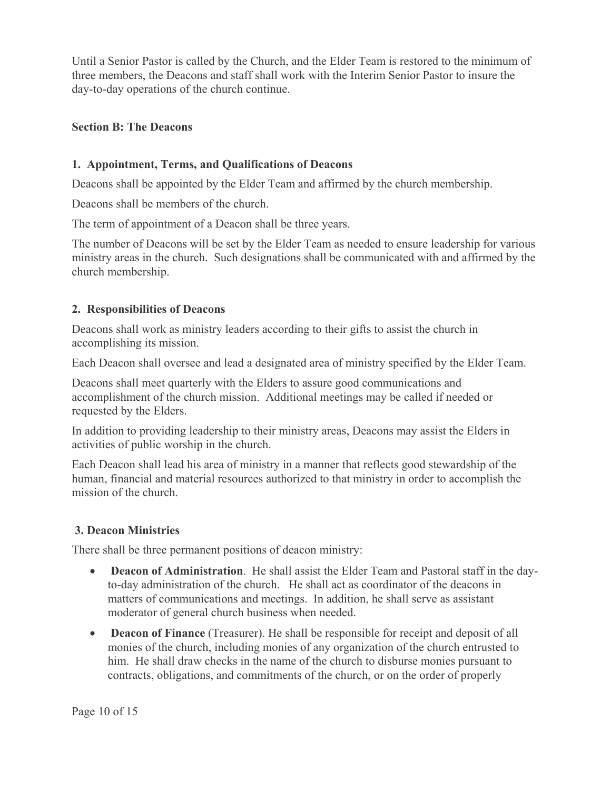Until a Senior Pastor is called by the Church, and the Elder Team is restored to the minimum of three members, the Deacons and staff shall work with the Interim Senior Pastor to insure the day-to-day operations of the church continue.

### **Section B: The Deacons**

## 1. Appointment, Terms, and Qualifications of Deacons

Deacons shall be appointed by the Elder Team and affirmed by the church membership.

Deacons shall be members of the church.

The term of appointment of a Deacon shall be three years.

The number of Deacons will be set by the Elder Team as needed to ensure leadership for various ministry areas in the church. Such designations shall be communicated with and affirmed by the church membership.

### 2. Responsibilities of Deacons

Deacons shall work as ministry leaders according to their gifts to assist the church in accomplishing its mission.

Each Deacon shall oversee and lead a designated area of ministry specified by the Elder Team.

Deacons shall meet quarterly with the Elders to assure good communications and accomplishment of the church mission. Additional meetings may be called if needed or requested by the Elders.

In addition to providing leadership to their ministry areas, Deacons may assist the Elders in activities of public worship in the church.

Each Deacon shall lead his area of ministry in a manner that reflects good stewardship of the human, financial and material resources authorized to that ministry in order to accomplish the mission of the church.

### **3. Deacon Ministries**

There shall be three permanent positions of deacon ministry:

- Deacon of Administration. He shall assist the Elder Team and Pastoral staff in the day- $\bullet$ to-day administration of the church. He shall act as coordinator of the deacons in matters of communications and meetings. In addition, he shall serve as assistant moderator of general church business when needed.
- Deacon of Finance (Treasurer). He shall be responsible for receipt and deposit of all monies of the church, including monies of any organization of the church entrusted to him. He shall draw checks in the name of the church to disburse monies pursuant to contracts, obligations, and commitments of the church, or on the order of properly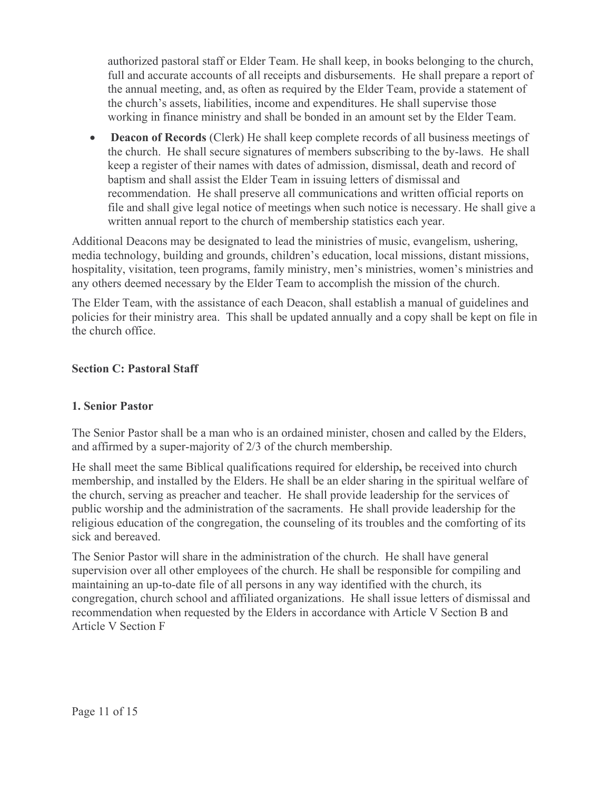authorized pastoral staff or Elder Team. He shall keep, in books belonging to the church, full and accurate accounts of all receipts and disbursements. He shall prepare a report of the annual meeting, and, as often as required by the Elder Team, provide a statement of the church's assets, liabilities, income and expenditures. He shall supervise those working in finance ministry and shall be bonded in an amount set by the Elder Team.

**Deacon of Records** (Clerk) He shall keep complete records of all business meetings of  $\bullet$ the church. He shall secure signatures of members subscribing to the by-laws. He shall keep a register of their names with dates of admission, dismissal, death and record of baptism and shall assist the Elder Team in issuing letters of dismissal and recommendation. He shall preserve all communications and written official reports on file and shall give legal notice of meetings when such notice is necessary. He shall give a written annual report to the church of membership statistics each year.

Additional Deacons may be designated to lead the ministries of music, evangelism, ushering, media technology, building and grounds, children's education, local missions, distant missions, hospitality, visitation, teen programs, family ministry, men's ministries, women's ministries and any others deemed necessary by the Elder Team to accomplish the mission of the church.

The Elder Team, with the assistance of each Deacon, shall establish a manual of guidelines and policies for their ministry area. This shall be updated annually and a copy shall be kept on file in the church office.

## **Section C: Pastoral Staff**

### **1. Senior Pastor**

The Senior Pastor shall be a man who is an ordained minister, chosen and called by the Elders, and affirmed by a super-majority of  $2/3$  of the church membership.

He shall meet the same Biblical qualifications required for eldership, be received into church membership, and installed by the Elders. He shall be an elder sharing in the spiritual welfare of the church, serving as preacher and teacher. He shall provide leadership for the services of public worship and the administration of the sacraments. He shall provide leadership for the religious education of the congregation, the counseling of its troubles and the comforting of its sick and bereaved.

The Senior Pastor will share in the administration of the church. He shall have general supervision over all other employees of the church. He shall be responsible for compiling and maintaining an up-to-date file of all persons in any way identified with the church, its congregation, church school and affiliated organizations. He shall issue letters of dismissal and recommendation when requested by the Elders in accordance with Article V Section B and **Article V Section F**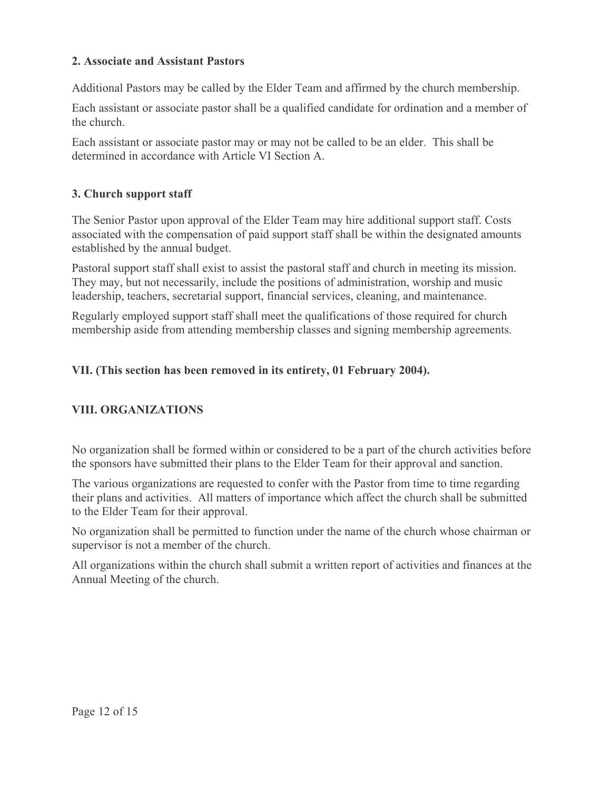### 2. Associate and Assistant Pastors

Additional Pastors may be called by the Elder Team and affirmed by the church membership.

Each assistant or associate pastor shall be a qualified candidate for ordination and a member of the church

Each assistant or associate pastor may or may not be called to be an elder. This shall be determined in accordance with Article VI Section A.

# 3. Church support staff

The Senior Pastor upon approval of the Elder Team may hire additional support staff. Costs associated with the compensation of paid support staff shall be within the designated amounts established by the annual budget.

Pastoral support staff shall exist to assist the pastoral staff and church in meeting its mission. They may, but not necessarily, include the positions of administration, worship and music leadership, teachers, secretarial support, financial services, cleaning, and maintenance.

Regularly employed support staff shall meet the qualifications of those required for church membership aside from attending membership classes and signing membership agreements.

# VII. (This section has been removed in its entirety, 01 February 2004).

# **VIII. ORGANIZATIONS**

No organization shall be formed within or considered to be a part of the church activities before the sponsors have submitted their plans to the Elder Team for their approval and sanction.

The various organizations are requested to confer with the Pastor from time to time regarding their plans and activities. All matters of importance which affect the church shall be submitted to the Elder Team for their approval.

No organization shall be permitted to function under the name of the church whose chairman or supervisor is not a member of the church.

All organizations within the church shall submit a written report of activities and finances at the Annual Meeting of the church.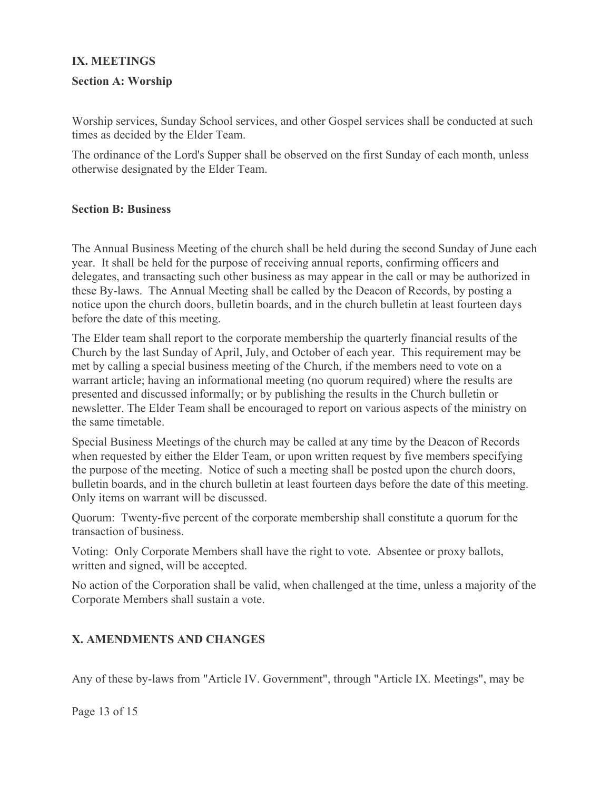### **IX. MEETINGS**

### **Section A: Worship**

Worship services, Sunday School services, and other Gospel services shall be conducted at such times as decided by the Elder Team.

The ordinance of the Lord's Supper shall be observed on the first Sunday of each month, unless otherwise designated by the Elder Team.

#### **Section B: Business**

The Annual Business Meeting of the church shall be held during the second Sunday of June each year. It shall be held for the purpose of receiving annual reports, confirming officers and delegates, and transacting such other business as may appear in the call or may be authorized in these By-laws. The Annual Meeting shall be called by the Deacon of Records, by posting a notice upon the church doors, bulletin boards, and in the church bulletin at least fourteen days before the date of this meeting.

The Elder team shall report to the corporate membership the quarterly financial results of the Church by the last Sunday of April, July, and October of each year. This requirement may be met by calling a special business meeting of the Church, if the members need to vote on a warrant article; having an informational meeting (no quorum required) where the results are presented and discussed informally; or by publishing the results in the Church bulletin or newsletter. The Elder Team shall be encouraged to report on various aspects of the ministry on the same timetable

Special Business Meetings of the church may be called at any time by the Deacon of Records when requested by either the Elder Team, or upon written request by five members specifying the purpose of the meeting. Notice of such a meeting shall be posted upon the church doors, bulletin boards, and in the church bulletin at least fourteen days before the date of this meeting. Only items on warrant will be discussed.

Quorum: Twenty-five percent of the corporate membership shall constitute a quorum for the transaction of business.

Voting: Only Corporate Members shall have the right to vote. Absentee or proxy ballots, written and signed, will be accepted.

No action of the Corporation shall be valid, when challenged at the time, unless a majority of the Corporate Members shall sustain a vote.

# X. AMENDMENTS AND CHANGES

Any of these by-laws from "Article IV. Government", through "Article IX. Meetings", may be